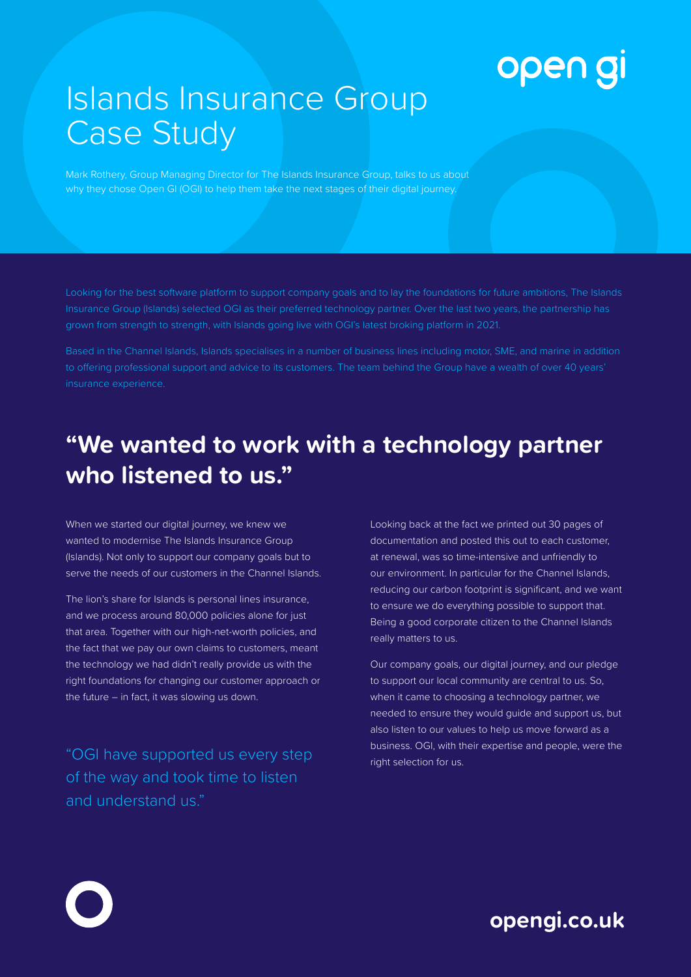# open gi

# Islands Insurance Group Case Study

Mark Rothery, Group Managing Director for The Islands Insurance Group, talks to us about why they chose Open GI (OGI) to help them take the next stages of their digital journey.

grown from strength to strength, with Islands going live with OGI's latest broking platform in 2021.

Based in the Channel Islands, Islands specialises in a number of business lines including motor, SME, and marine in addition to offering professional support and advice to its customers. The team behind the Group have a wealth of over 40 years' insurance experience.

### **"We wanted to work with a technology partner who listened to us."**

When we started our digital journey, we knew we wanted to modernise The Islands Insurance Group (Islands). Not only to support our company goals but to serve the needs of our customers in the Channel Islands.

The lion's share for Islands is personal lines insurance, and we process around 80,000 policies alone for just that area. Together with our high-net-worth policies, and the fact that we pay our own claims to customers, meant the technology we had didn't really provide us with the right foundations for changing our customer approach or the future – in fact, it was slowing us down.

"OGI have supported us every step of the way and took time to listen and understand us."

Looking back at the fact we printed out 30 pages of documentation and posted this out to each customer, at renewal, was so time-intensive and unfriendly to our environment. In particular for the Channel Islands, reducing our carbon footprint is significant, and we want to ensure we do everything possible to support that. Being a good corporate citizen to the Channel Islands really matters to us.

Our company goals, our digital journey, and our pledge to support our local community are central to us. So, when it came to choosing a technology partner, we needed to ensure they would guide and support us, but also listen to our values to help us move forward as a business. OGI, with their expertise and people, were the right selection for us.

#### **opengi.co.uk**